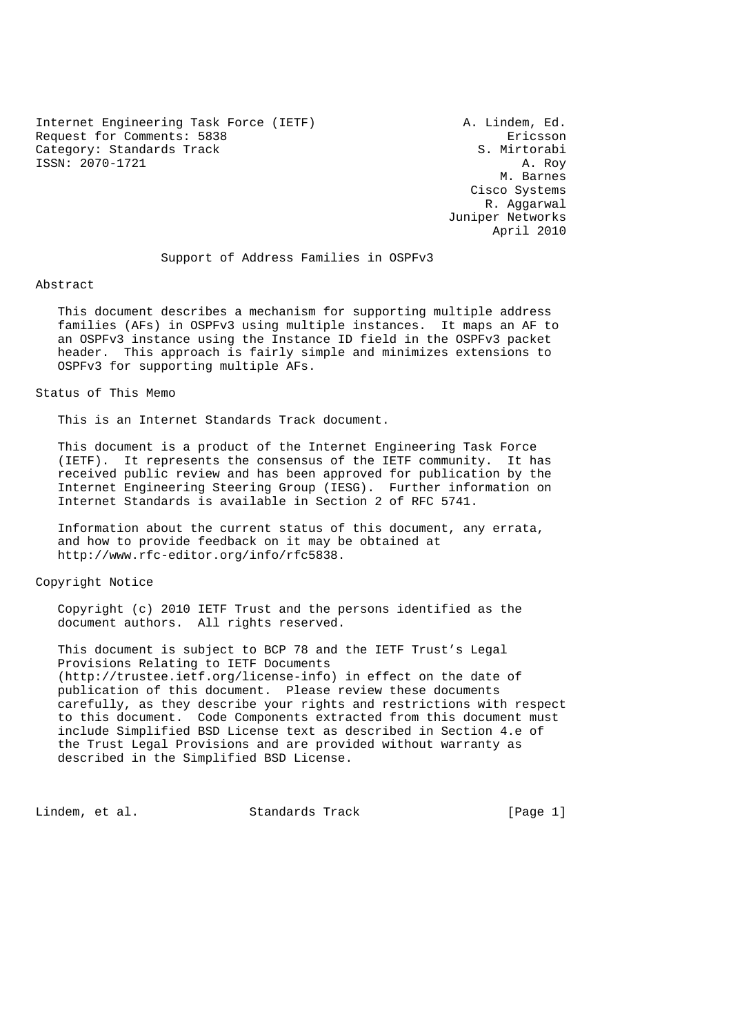Internet Engineering Task Force (IETF) A. Lindem, Ed. Request for Comments: 5838 Ericsson Category: Standards Track S. Mirtorabi ISSN: 2070-1721 A. Roy

 M. Barnes Cisco Systems R. Aggarwal Juniper Networks April 2010

Support of Address Families in OSPFv3

#### Abstract

 This document describes a mechanism for supporting multiple address families (AFs) in OSPFv3 using multiple instances. It maps an AF to an OSPFv3 instance using the Instance ID field in the OSPFv3 packet header. This approach is fairly simple and minimizes extensions to OSPFv3 for supporting multiple AFs.

Status of This Memo

This is an Internet Standards Track document.

 This document is a product of the Internet Engineering Task Force (IETF). It represents the consensus of the IETF community. It has received public review and has been approved for publication by the Internet Engineering Steering Group (IESG). Further information on Internet Standards is available in Section 2 of RFC 5741.

 Information about the current status of this document, any errata, and how to provide feedback on it may be obtained at http://www.rfc-editor.org/info/rfc5838.

### Copyright Notice

 Copyright (c) 2010 IETF Trust and the persons identified as the document authors. All rights reserved.

 This document is subject to BCP 78 and the IETF Trust's Legal Provisions Relating to IETF Documents (http://trustee.ietf.org/license-info) in effect on the date of publication of this document. Please review these documents carefully, as they describe your rights and restrictions with respect to this document. Code Components extracted from this document must include Simplified BSD License text as described in Section 4.e of the Trust Legal Provisions and are provided without warranty as described in the Simplified BSD License.

Lindem, et al. Standards Track [Page 1]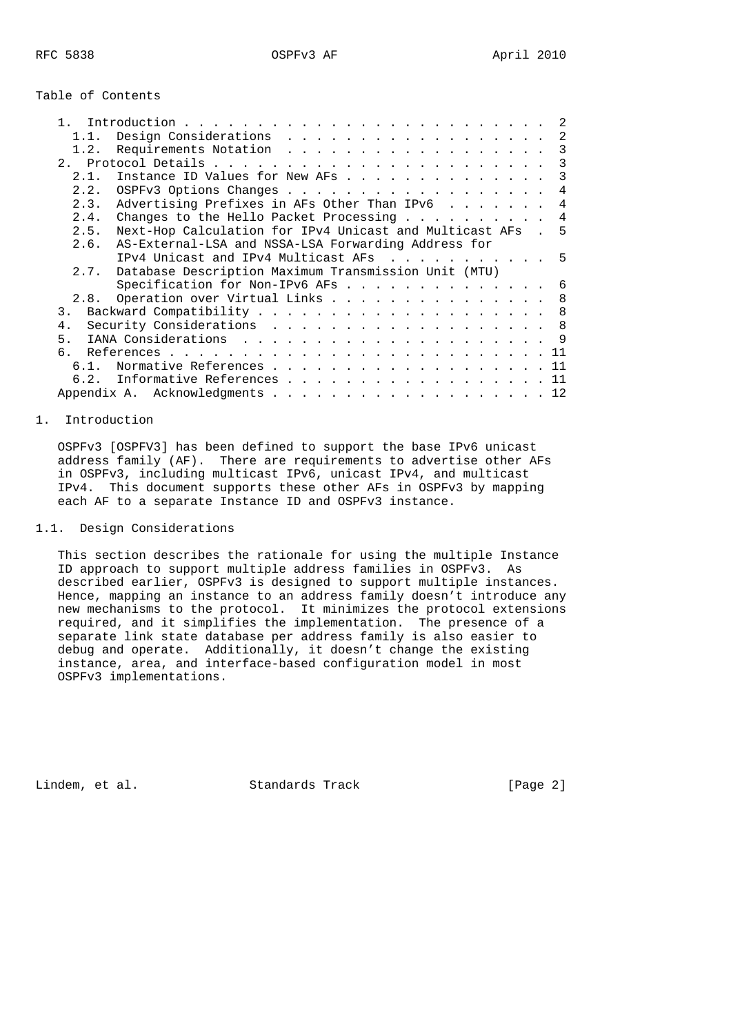|  |  | Table of Contents |
|--|--|-------------------|
|--|--|-------------------|

| Design Considerations<br>1.1.                                    |  | -2  |
|------------------------------------------------------------------|--|-----|
| Requirements Notation<br>1.2.                                    |  | 3   |
| 2.1                                                              |  | 3   |
| Instance ID Values for New AFs<br>21                             |  | 3   |
| 2.2.<br>OSPFv3 Options Changes                                   |  | 4   |
| Advertising Prefixes in AFs Other Than IPv6<br>2.3.              |  | 4   |
| Changes to the Hello Packet Processing<br>2.4.                   |  | 4   |
| Next-Hop Calculation for IPv4 Unicast and Multicast AFs.<br>2.5. |  | - 5 |
| 2.6.<br>AS-External-LSA and NSSA-LSA Forwarding Address for      |  |     |
| IPv4 Unicast and IPv4 Multicast AFs 5                            |  |     |
| 2.7. Database Description Maximum Transmission Unit (MTU)        |  |     |
| Specification for Non-IPv6 AFs                                   |  | - 6 |
| Operation over Virtual Links<br>2.8.                             |  | 8   |
| 3.                                                               |  | 8   |
| Security Considerations 8<br>4.                                  |  |     |
| 5 <sub>1</sub>                                                   |  |     |
| რ —                                                              |  |     |
| 61                                                               |  | 11  |
| Informative References<br>6.2.                                   |  | 11  |
|                                                                  |  | 12  |

# 1. Introduction

 OSPFv3 [OSPFV3] has been defined to support the base IPv6 unicast address family (AF). There are requirements to advertise other AFs in OSPFv3, including multicast IPv6, unicast IPv4, and multicast IPv4. This document supports these other AFs in OSPFv3 by mapping each AF to a separate Instance ID and OSPFv3 instance.

# 1.1. Design Considerations

 This section describes the rationale for using the multiple Instance ID approach to support multiple address families in OSPFv3. As described earlier, OSPFv3 is designed to support multiple instances. Hence, mapping an instance to an address family doesn't introduce any new mechanisms to the protocol. It minimizes the protocol extensions required, and it simplifies the implementation. The presence of a separate link state database per address family is also easier to debug and operate. Additionally, it doesn't change the existing instance, area, and interface-based configuration model in most OSPFv3 implementations.

Lindem, et al. Standards Track [Page 2]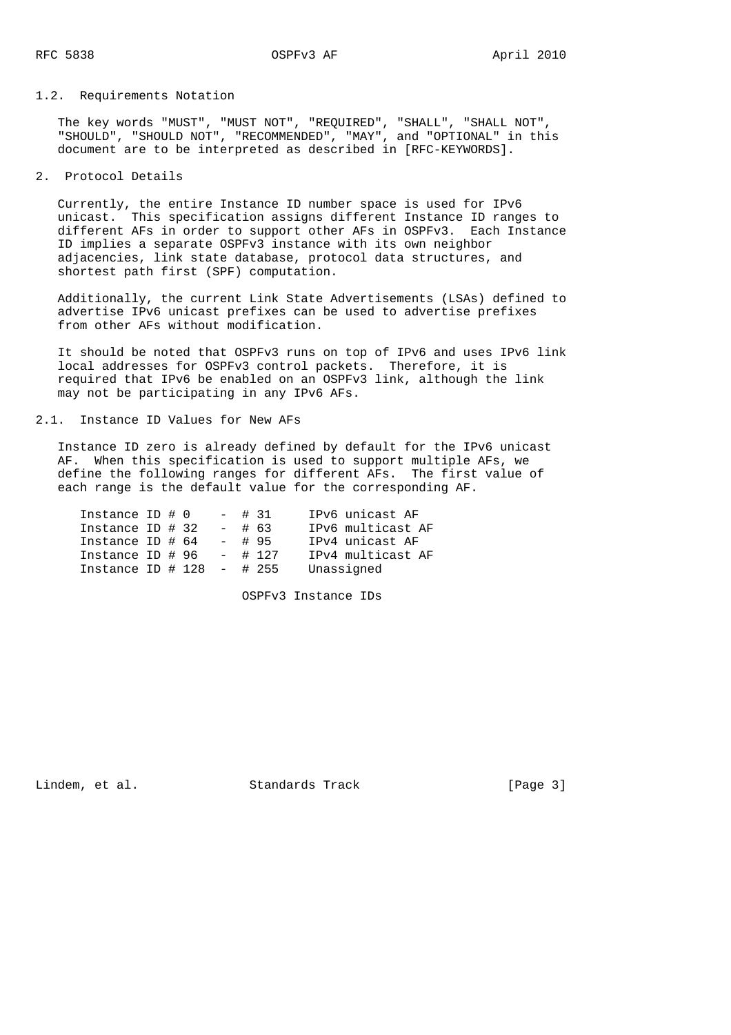# 1.2. Requirements Notation

 The key words "MUST", "MUST NOT", "REQUIRED", "SHALL", "SHALL NOT", "SHOULD", "SHOULD NOT", "RECOMMENDED", "MAY", and "OPTIONAL" in this document are to be interpreted as described in [RFC-KEYWORDS].

2. Protocol Details

 Currently, the entire Instance ID number space is used for IPv6 unicast. This specification assigns different Instance ID ranges to different AFs in order to support other AFs in OSPFv3. Each Instance ID implies a separate OSPFv3 instance with its own neighbor adjacencies, link state database, protocol data structures, and shortest path first (SPF) computation.

 Additionally, the current Link State Advertisements (LSAs) defined to advertise IPv6 unicast prefixes can be used to advertise prefixes from other AFs without modification.

 It should be noted that OSPFv3 runs on top of IPv6 and uses IPv6 link local addresses for OSPFv3 control packets. Therefore, it is required that IPv6 be enabled on an OSPFv3 link, although the link may not be participating in any IPv6 AFs.

2.1. Instance ID Values for New AFs

 Instance ID zero is already defined by default for the IPv6 unicast AF. When this specification is used to support multiple AFs, we define the following ranges for different AFs. The first value of each range is the default value for the corresponding AF.

| Instance ID $\#$ 0         |  |          | $-$ # 31  | IPv6 unicast AF   |
|----------------------------|--|----------|-----------|-------------------|
| Instance ID $\#$ 32        |  | $-$ # 63 |           | IPv6 multicast AF |
| Instance ID # 64           |  |          | $-$ # 95  | IPv4 unicast AF   |
| Instance ID # 96           |  |          | $-$ # 127 | IPv4 multicast AF |
| Instance ID # $128 - 4255$ |  |          |           | Unassigned        |

OSPFv3 Instance IDs

Lindem, et al. Standards Track [Page 3]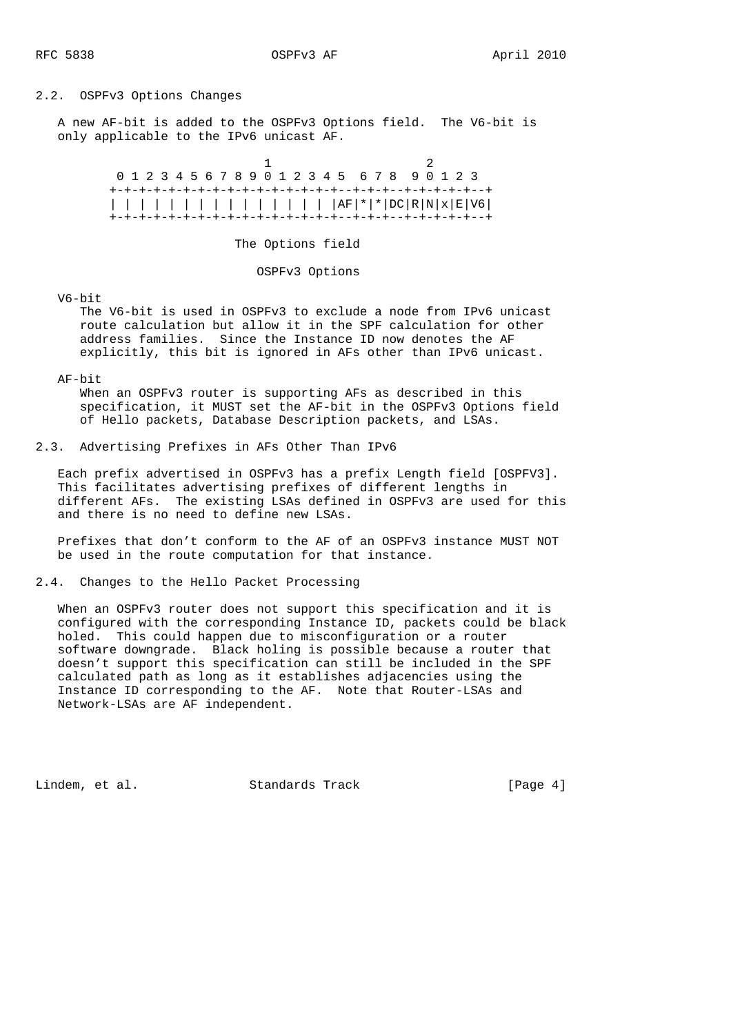### 2.2. OSPFv3 Options Changes

 A new AF-bit is added to the OSPFv3 Options field. The V6-bit is only applicable to the IPv6 unicast AF.

|  |  |  |  |  |  |  |  |  | 0 1 2 3 4 5 6 7 8 9 0 1 2 3 4 5 6 7 8 9 0 1 2 3 |  |  |  |
|--|--|--|--|--|--|--|--|--|-------------------------------------------------|--|--|--|
|  |  |  |  |  |  |  |  |  |                                                 |  |  |  |
|  |  |  |  |  |  |  |  |  |                                                 |  |  |  |
|  |  |  |  |  |  |  |  |  |                                                 |  |  |  |

The Options field

OSPFv3 Options

V6-bit

 The V6-bit is used in OSPFv3 to exclude a node from IPv6 unicast route calculation but allow it in the SPF calculation for other address families. Since the Instance ID now denotes the AF explicitly, this bit is ignored in AFs other than IPv6 unicast.

#### AF-bit

 When an OSPFv3 router is supporting AFs as described in this specification, it MUST set the AF-bit in the OSPFv3 Options field of Hello packets, Database Description packets, and LSAs.

2.3. Advertising Prefixes in AFs Other Than IPv6

 Each prefix advertised in OSPFv3 has a prefix Length field [OSPFV3]. This facilitates advertising prefixes of different lengths in different AFs. The existing LSAs defined in OSPFv3 are used for this and there is no need to define new LSAs.

 Prefixes that don't conform to the AF of an OSPFv3 instance MUST NOT be used in the route computation for that instance.

### 2.4. Changes to the Hello Packet Processing

 When an OSPFv3 router does not support this specification and it is configured with the corresponding Instance ID, packets could be black holed. This could happen due to misconfiguration or a router software downgrade. Black holing is possible because a router that doesn't support this specification can still be included in the SPF calculated path as long as it establishes adjacencies using the Instance ID corresponding to the AF. Note that Router-LSAs and Network-LSAs are AF independent.

Lindem, et al. Standards Track [Page 4]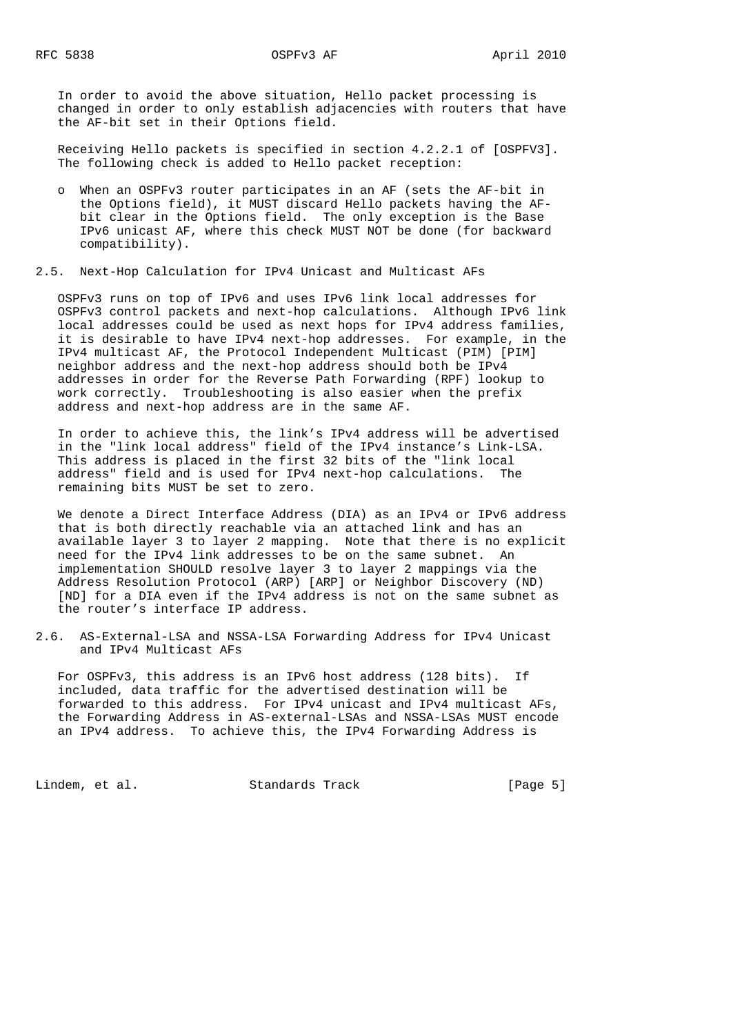In order to avoid the above situation, Hello packet processing is changed in order to only establish adjacencies with routers that have the AF-bit set in their Options field.

 Receiving Hello packets is specified in section 4.2.2.1 of [OSPFV3]. The following check is added to Hello packet reception:

 o When an OSPFv3 router participates in an AF (sets the AF-bit in the Options field), it MUST discard Hello packets having the AF bit clear in the Options field. The only exception is the Base IPv6 unicast AF, where this check MUST NOT be done (for backward compatibility).

# 2.5. Next-Hop Calculation for IPv4 Unicast and Multicast AFs

 OSPFv3 runs on top of IPv6 and uses IPv6 link local addresses for OSPFv3 control packets and next-hop calculations. Although IPv6 link local addresses could be used as next hops for IPv4 address families, it is desirable to have IPv4 next-hop addresses. For example, in the IPv4 multicast AF, the Protocol Independent Multicast (PIM) [PIM] neighbor address and the next-hop address should both be IPv4 addresses in order for the Reverse Path Forwarding (RPF) lookup to work correctly. Troubleshooting is also easier when the prefix address and next-hop address are in the same AF.

 In order to achieve this, the link's IPv4 address will be advertised in the "link local address" field of the IPv4 instance's Link-LSA. This address is placed in the first 32 bits of the "link local address" field and is used for IPv4 next-hop calculations. The remaining bits MUST be set to zero.

 We denote a Direct Interface Address (DIA) as an IPv4 or IPv6 address that is both directly reachable via an attached link and has an available layer 3 to layer 2 mapping. Note that there is no explicit need for the IPv4 link addresses to be on the same subnet. An implementation SHOULD resolve layer 3 to layer 2 mappings via the Address Resolution Protocol (ARP) [ARP] or Neighbor Discovery (ND) [ND] for a DIA even if the IPv4 address is not on the same subnet as the router's interface IP address.

2.6. AS-External-LSA and NSSA-LSA Forwarding Address for IPv4 Unicast and IPv4 Multicast AFs

 For OSPFv3, this address is an IPv6 host address (128 bits). If included, data traffic for the advertised destination will be forwarded to this address. For IPv4 unicast and IPv4 multicast AFs, the Forwarding Address in AS-external-LSAs and NSSA-LSAs MUST encode an IPv4 address. To achieve this, the IPv4 Forwarding Address is

Lindem, et al. Standards Track [Page 5]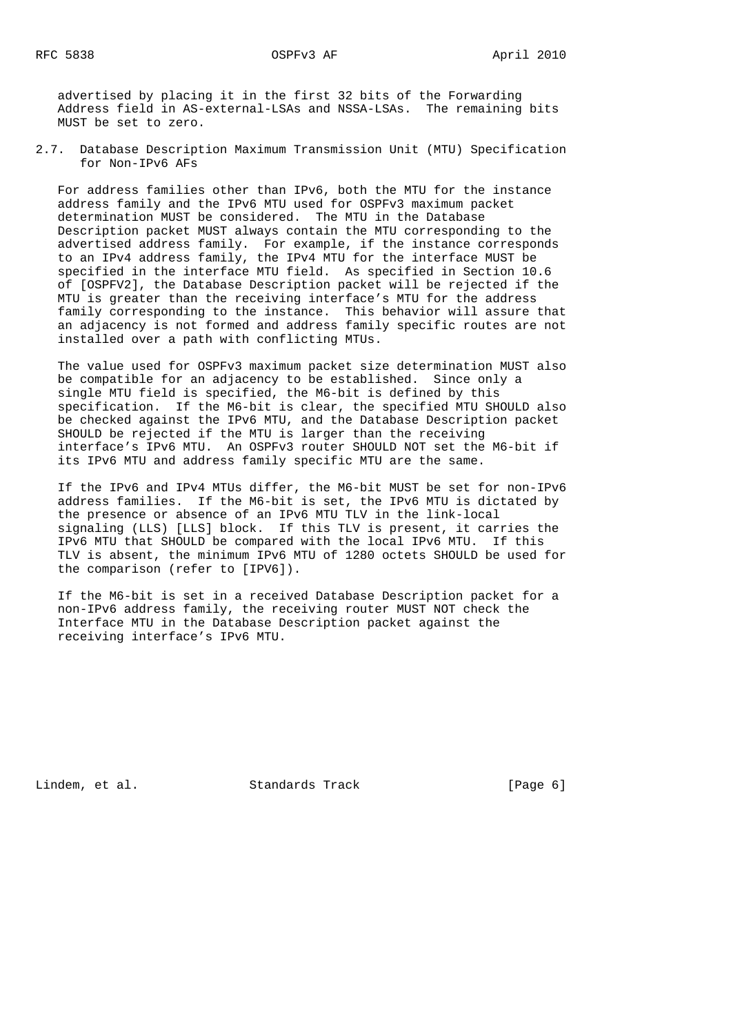advertised by placing it in the first 32 bits of the Forwarding Address field in AS-external-LSAs and NSSA-LSAs. The remaining bits MUST be set to zero.

2.7. Database Description Maximum Transmission Unit (MTU) Specification for Non-IPv6 AFs

 For address families other than IPv6, both the MTU for the instance address family and the IPv6 MTU used for OSPFv3 maximum packet determination MUST be considered. The MTU in the Database Description packet MUST always contain the MTU corresponding to the advertised address family. For example, if the instance corresponds to an IPv4 address family, the IPv4 MTU for the interface MUST be specified in the interface MTU field. As specified in Section 10.6 of [OSPFV2], the Database Description packet will be rejected if the MTU is greater than the receiving interface's MTU for the address family corresponding to the instance. This behavior will assure that an adjacency is not formed and address family specific routes are not installed over a path with conflicting MTUs.

 The value used for OSPFv3 maximum packet size determination MUST also be compatible for an adjacency to be established. Since only a single MTU field is specified, the M6-bit is defined by this specification. If the M6-bit is clear, the specified MTU SHOULD also be checked against the IPv6 MTU, and the Database Description packet SHOULD be rejected if the MTU is larger than the receiving interface's IPv6 MTU. An OSPFv3 router SHOULD NOT set the M6-bit if its IPv6 MTU and address family specific MTU are the same.

 If the IPv6 and IPv4 MTUs differ, the M6-bit MUST be set for non-IPv6 address families. If the M6-bit is set, the IPv6 MTU is dictated by the presence or absence of an IPv6 MTU TLV in the link-local signaling (LLS) [LLS] block. If this TLV is present, it carries the IPv6 MTU that SHOULD be compared with the local IPv6 MTU. If this TLV is absent, the minimum IPv6 MTU of 1280 octets SHOULD be used for the comparison (refer to [IPV6]).

 If the M6-bit is set in a received Database Description packet for a non-IPv6 address family, the receiving router MUST NOT check the Interface MTU in the Database Description packet against the receiving interface's IPv6 MTU.

Lindem, et al. Standards Track [Page 6]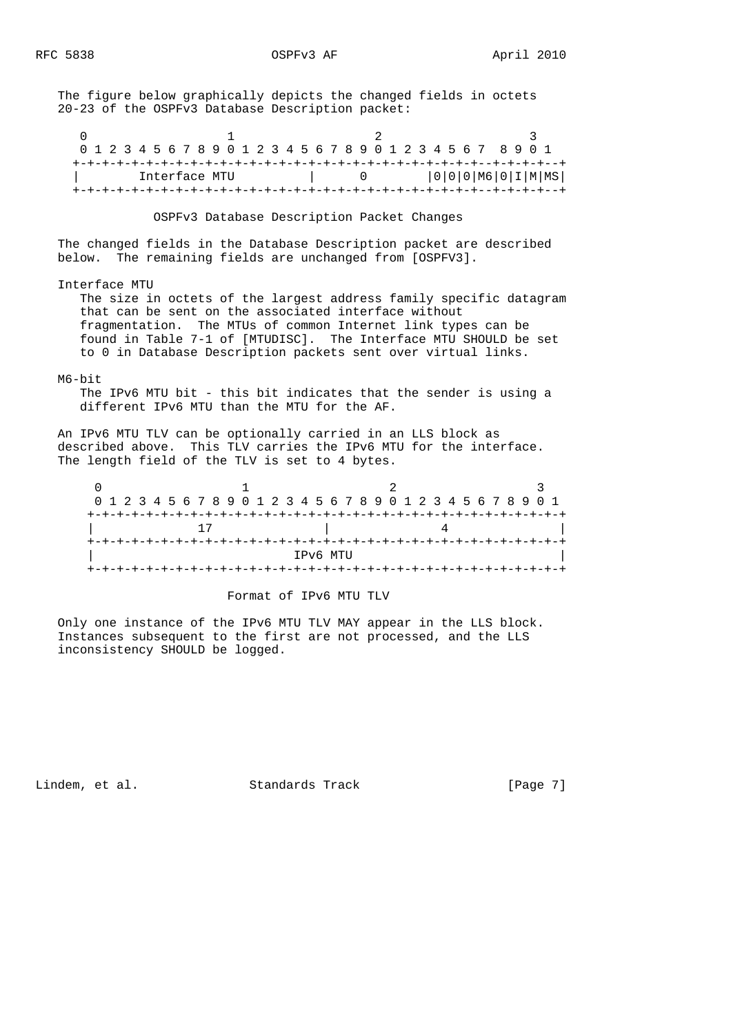The figure below graphically depicts the changed fields in octets 20-23 of the OSPFv3 Database Description packet:

0  $1$   $2$   $3$  0 1 2 3 4 5 6 7 8 9 0 1 2 3 4 5 6 7 8 9 0 1 2 3 4 5 6 7 8 9 0 1 +-+-+-+-+-+-+-+-+-+-+-+-+-+-+-+-+-+-+-+-+-+-+-+-+-+-+-+--+-+-+-+--+ | Interface MTU | 0 | 0|0|0|M6|0|I|M|MS| +-+-+-+-+-+-+-+-+-+-+-+-+-+-+-+-+-+-+-+-+-+-+-+-+-+-+-+--+-+-+-+--+

OSPFv3 Database Description Packet Changes

 The changed fields in the Database Description packet are described below. The remaining fields are unchanged from [OSPFV3].

Interface MTU

 The size in octets of the largest address family specific datagram that can be sent on the associated interface without fragmentation. The MTUs of common Internet link types can be found in Table 7-1 of [MTUDISC]. The Interface MTU SHOULD be set to 0 in Database Description packets sent over virtual links.

#### M6-bit

 The IPv6 MTU bit - this bit indicates that the sender is using a different IPv6 MTU than the MTU for the AF.

 An IPv6 MTU TLV can be optionally carried in an LLS block as described above. This TLV carries the IPv6 MTU for the interface. The length field of the TLV is set to 4 bytes.

|  |          |  |  |  |  |  |  |  |  |  |  |  |  |  |  |  |  |  |  |  |  |  |  |  |  |  |  | 0 1 2 3 4 5 6 7 8 9 0 1 2 3 4 5 6 7 8 9 0 1 2 3 4 5 6 7 8 9 0 1 |  |
|--|----------|--|--|--|--|--|--|--|--|--|--|--|--|--|--|--|--|--|--|--|--|--|--|--|--|--|--|-----------------------------------------------------------------|--|
|  |          |  |  |  |  |  |  |  |  |  |  |  |  |  |  |  |  |  |  |  |  |  |  |  |  |  |  |                                                                 |  |
|  |          |  |  |  |  |  |  |  |  |  |  |  |  |  |  |  |  |  |  |  |  |  |  |  |  |  |  |                                                                 |  |
|  |          |  |  |  |  |  |  |  |  |  |  |  |  |  |  |  |  |  |  |  |  |  |  |  |  |  |  |                                                                 |  |
|  | IPv6 MTU |  |  |  |  |  |  |  |  |  |  |  |  |  |  |  |  |  |  |  |  |  |  |  |  |  |  |                                                                 |  |
|  |          |  |  |  |  |  |  |  |  |  |  |  |  |  |  |  |  |  |  |  |  |  |  |  |  |  |  |                                                                 |  |

#### Format of IPv6 MTU TLV

 Only one instance of the IPv6 MTU TLV MAY appear in the LLS block. Instances subsequent to the first are not processed, and the LLS inconsistency SHOULD be logged.

Lindem, et al. Standards Track [Page 7]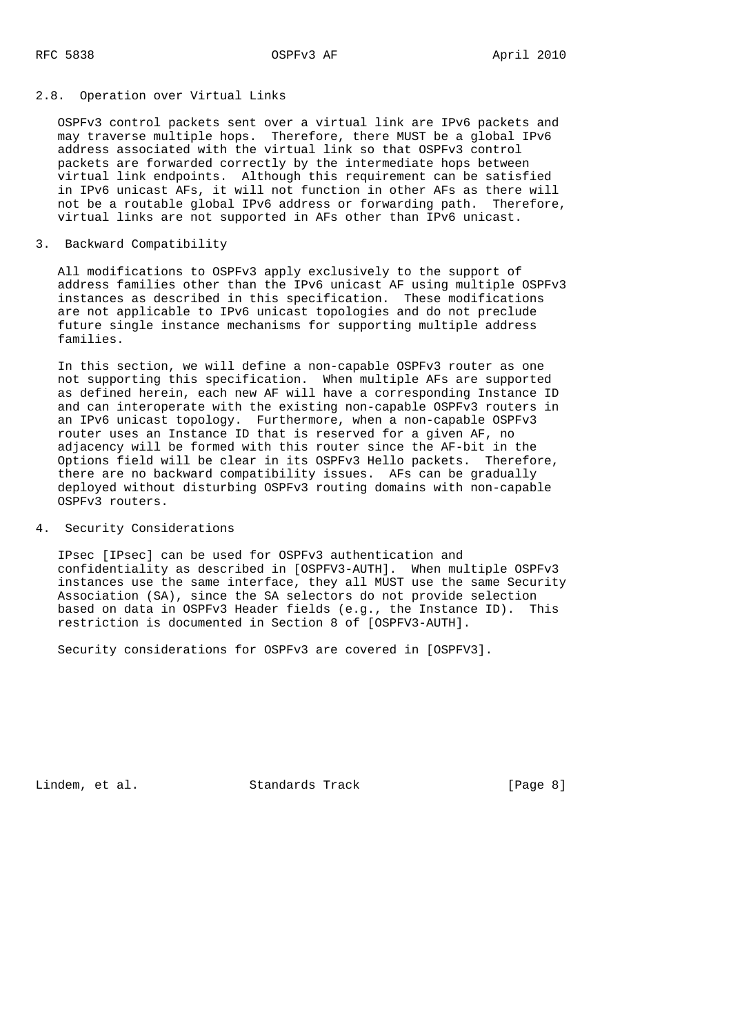### 2.8. Operation over Virtual Links

 OSPFv3 control packets sent over a virtual link are IPv6 packets and may traverse multiple hops. Therefore, there MUST be a global IPv6 address associated with the virtual link so that OSPFv3 control packets are forwarded correctly by the intermediate hops between virtual link endpoints. Although this requirement can be satisfied in IPv6 unicast AFs, it will not function in other AFs as there will not be a routable global IPv6 address or forwarding path. Therefore, virtual links are not supported in AFs other than IPv6 unicast.

## 3. Backward Compatibility

 All modifications to OSPFv3 apply exclusively to the support of address families other than the IPv6 unicast AF using multiple OSPFv3 instances as described in this specification. These modifications are not applicable to IPv6 unicast topologies and do not preclude future single instance mechanisms for supporting multiple address families.

 In this section, we will define a non-capable OSPFv3 router as one not supporting this specification. When multiple AFs are supported as defined herein, each new AF will have a corresponding Instance ID and can interoperate with the existing non-capable OSPFv3 routers in an IPv6 unicast topology. Furthermore, when a non-capable OSPFv3 router uses an Instance ID that is reserved for a given AF, no adjacency will be formed with this router since the AF-bit in the Options field will be clear in its OSPFv3 Hello packets. Therefore, there are no backward compatibility issues. AFs can be gradually deployed without disturbing OSPFv3 routing domains with non-capable OSPFv3 routers.

# 4. Security Considerations

 IPsec [IPsec] can be used for OSPFv3 authentication and confidentiality as described in [OSPFV3-AUTH]. When multiple OSPFv3 instances use the same interface, they all MUST use the same Security Association (SA), since the SA selectors do not provide selection based on data in OSPFv3 Header fields (e.g., the Instance ID). This restriction is documented in Section 8 of [OSPFV3-AUTH].

Security considerations for OSPFv3 are covered in [OSPFV3].

Lindem, et al. Standards Track [Page 8]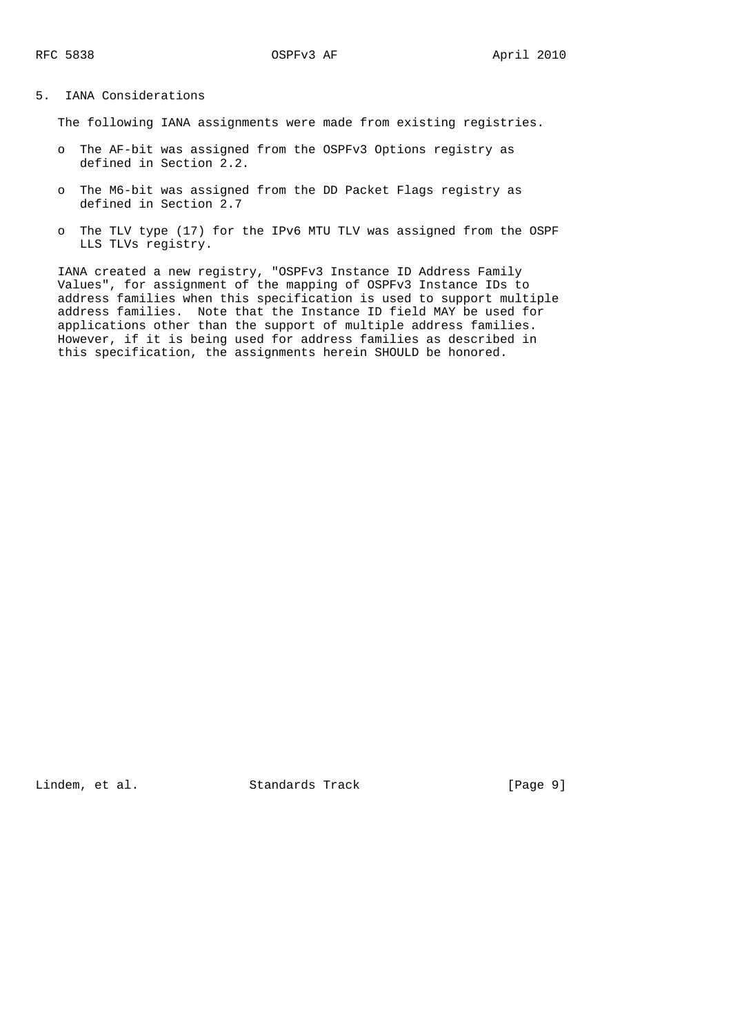## 5. IANA Considerations

The following IANA assignments were made from existing registries.

- o The AF-bit was assigned from the OSPFv3 Options registry as defined in Section 2.2.
- o The M6-bit was assigned from the DD Packet Flags registry as defined in Section 2.7
- o The TLV type (17) for the IPv6 MTU TLV was assigned from the OSPF LLS TLVs registry.

 IANA created a new registry, "OSPFv3 Instance ID Address Family Values", for assignment of the mapping of OSPFv3 Instance IDs to address families when this specification is used to support multiple address families. Note that the Instance ID field MAY be used for applications other than the support of multiple address families. However, if it is being used for address families as described in this specification, the assignments herein SHOULD be honored.

Lindem, et al. Standards Track [Page 9]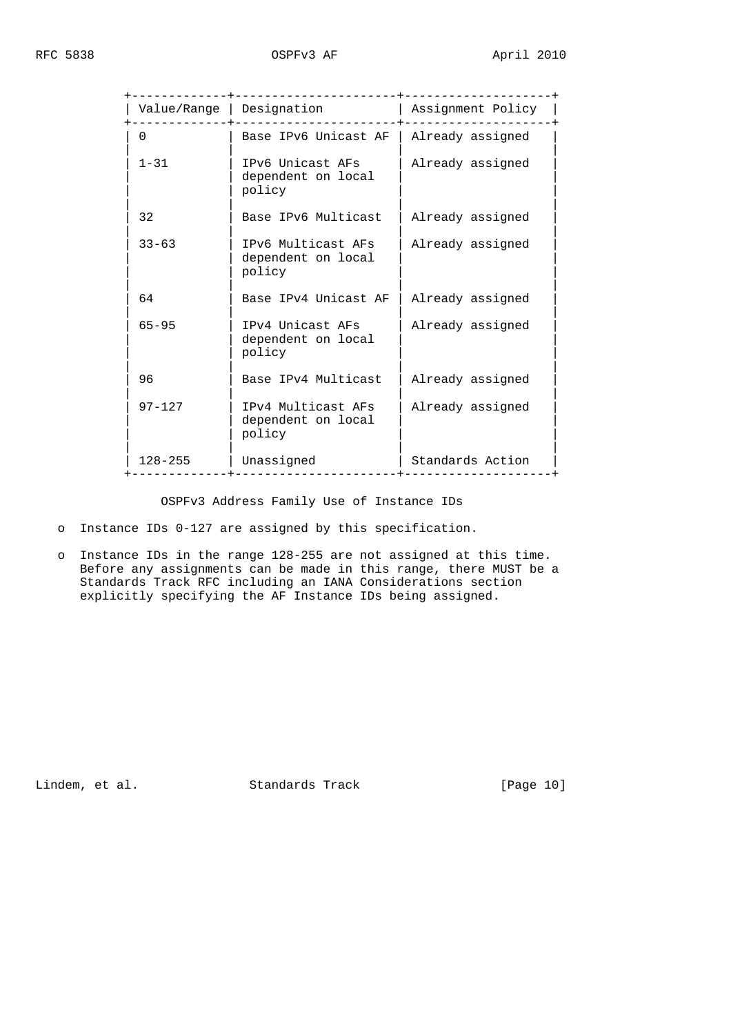| Assignment Policy<br>Value/Range   Designation<br>Base IPv6 Unicast AF<br>Already assigned<br>$\Omega$<br>$1 - 31$<br>IPv6 Unicast AFs<br>Already assigned<br>dependent on local<br>policy<br>32<br>Base IPv6 Multicast<br>Already assigned<br>$33 - 63$<br>IPv6 Multicast AFs<br>Already assigned<br>dependent on local<br>policy<br>64<br>Base IPv4 Unicast AF<br>Already assigned<br>$65 - 95$<br>IPv4 Unicast AFs<br>Already assigned<br>dependent on local<br>policy<br>96<br>Base IPv4 Multicast<br>Already assigned<br>$97 - 127$<br>IPv4 Multicast AFs<br>Already assigned<br>dependent on local<br>policy<br>$128 - 255$<br>Unassigned<br>Standards Action |  | $- - - - - - - - +$ |  |
|---------------------------------------------------------------------------------------------------------------------------------------------------------------------------------------------------------------------------------------------------------------------------------------------------------------------------------------------------------------------------------------------------------------------------------------------------------------------------------------------------------------------------------------------------------------------------------------------------------------------------------------------------------------------|--|---------------------|--|
|                                                                                                                                                                                                                                                                                                                                                                                                                                                                                                                                                                                                                                                                     |  |                     |  |
|                                                                                                                                                                                                                                                                                                                                                                                                                                                                                                                                                                                                                                                                     |  |                     |  |
|                                                                                                                                                                                                                                                                                                                                                                                                                                                                                                                                                                                                                                                                     |  |                     |  |
|                                                                                                                                                                                                                                                                                                                                                                                                                                                                                                                                                                                                                                                                     |  |                     |  |
|                                                                                                                                                                                                                                                                                                                                                                                                                                                                                                                                                                                                                                                                     |  |                     |  |
|                                                                                                                                                                                                                                                                                                                                                                                                                                                                                                                                                                                                                                                                     |  |                     |  |
|                                                                                                                                                                                                                                                                                                                                                                                                                                                                                                                                                                                                                                                                     |  |                     |  |
|                                                                                                                                                                                                                                                                                                                                                                                                                                                                                                                                                                                                                                                                     |  |                     |  |
|                                                                                                                                                                                                                                                                                                                                                                                                                                                                                                                                                                                                                                                                     |  |                     |  |
|                                                                                                                                                                                                                                                                                                                                                                                                                                                                                                                                                                                                                                                                     |  |                     |  |

OSPFv3 Address Family Use of Instance IDs

o Instance IDs 0-127 are assigned by this specification.

 o Instance IDs in the range 128-255 are not assigned at this time. Before any assignments can be made in this range, there MUST be a Standards Track RFC including an IANA Considerations section explicitly specifying the AF Instance IDs being assigned.

Lindem, et al. Standards Track [Page 10]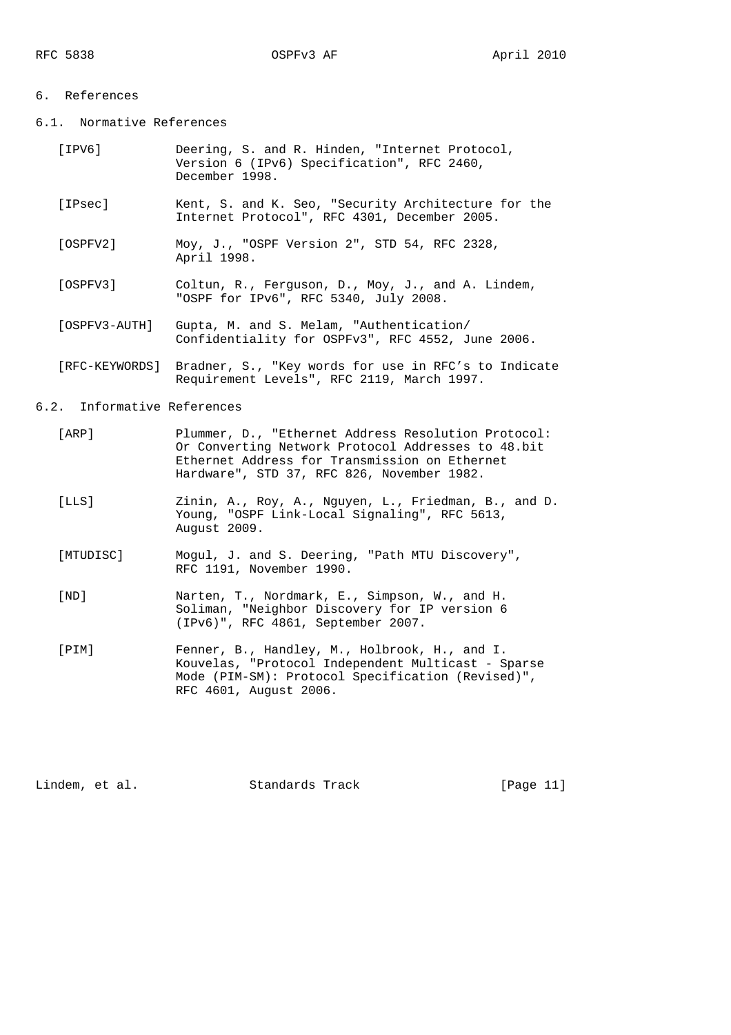### 6. References

- 6.1. Normative References
	- [IPV6] Deering, S. and R. Hinden, "Internet Protocol, Version 6 (IPv6) Specification", RFC 2460, December 1998.
	- [IPsec] Kent, S. and K. Seo, "Security Architecture for the Internet Protocol", RFC 4301, December 2005.
	- [OSPFV2] Moy, J., "OSPF Version 2", STD 54, RFC 2328, April 1998.
	- [OSPFV3] Coltun, R., Ferguson, D., Moy, J., and A. Lindem, "OSPF for IPv6", RFC 5340, July 2008.
	- [OSPFV3-AUTH] Gupta, M. and S. Melam, "Authentication/ Confidentiality for OSPFv3", RFC 4552, June 2006.
	- [RFC-KEYWORDS] Bradner, S., "Key words for use in RFC's to Indicate Requirement Levels", RFC 2119, March 1997.

## 6.2. Informative References

- [ARP] Plummer, D., "Ethernet Address Resolution Protocol: Or Converting Network Protocol Addresses to 48.bit Ethernet Address for Transmission on Ethernet Hardware", STD 37, RFC 826, November 1982.
- [LLS] Zinin, A., Roy, A., Nguyen, L., Friedman, B., and D. Young, "OSPF Link-Local Signaling", RFC 5613, August 2009.
- [MTUDISC] Mogul, J. and S. Deering, "Path MTU Discovery", RFC 1191, November 1990.
- [ND] Narten, T., Nordmark, E., Simpson, W., and H. Soliman, "Neighbor Discovery for IP version 6 (IPv6)", RFC 4861, September 2007.
- [PIM] Fenner, B., Handley, M., Holbrook, H., and I. Kouvelas, "Protocol Independent Multicast - Sparse Mode (PIM-SM): Protocol Specification (Revised)", RFC 4601, August 2006.

Lindem, et al. Standards Track [Page 11]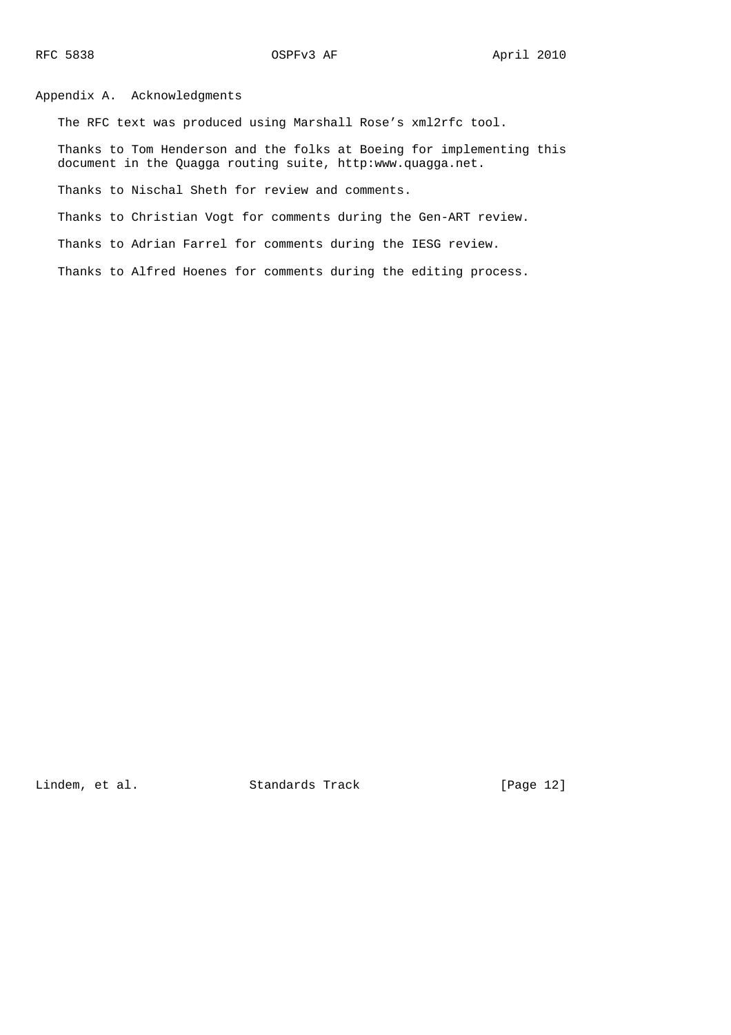Appendix A. Acknowledgments

The RFC text was produced using Marshall Rose's xml2rfc tool.

 Thanks to Tom Henderson and the folks at Boeing for implementing this document in the Quagga routing suite, http:www.quagga.net.

Thanks to Nischal Sheth for review and comments.

Thanks to Christian Vogt for comments during the Gen-ART review.

Thanks to Adrian Farrel for comments during the IESG review.

Thanks to Alfred Hoenes for comments during the editing process.

Lindem, et al. Standards Track [Page 12]